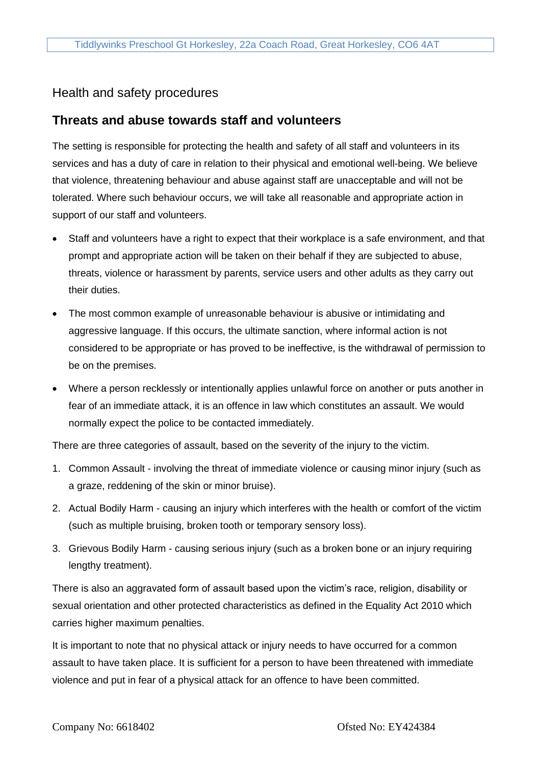# Health and safety procedures

# **Threats and abuse towards staff and volunteers**

The setting is responsible for protecting the health and safety of all staff and volunteers in its services and has a duty of care in relation to their physical and emotional well-being. We believe that violence, threatening behaviour and abuse against staff are unacceptable and will not be tolerated. Where such behaviour occurs, we will take all reasonable and appropriate action in support of our staff and volunteers.

- Staff and volunteers have a right to expect that their workplace is a safe environment, and that prompt and appropriate action will be taken on their behalf if they are subjected to abuse, threats, violence or harassment by parents, service users and other adults as they carry out their duties.
- The most common example of unreasonable behaviour is abusive or intimidating and aggressive language. If this occurs, the ultimate sanction, where informal action is not considered to be appropriate or has proved to be ineffective, is the withdrawal of permission to be on the premises.
- Where a person recklessly or intentionally applies unlawful force on another or puts another in fear of an immediate attack, it is an offence in law which constitutes an assault. We would normally expect the police to be contacted immediately.

There are three categories of assault, based on the severity of the injury to the victim.

- 1. Common Assault involving the threat of immediate violence or causing minor injury (such as a graze, reddening of the skin or minor bruise).
- 2. Actual Bodily Harm causing an injury which interferes with the health or comfort of the victim (such as multiple bruising, broken tooth or temporary sensory loss).
- 3. Grievous Bodily Harm causing serious injury (such as a broken bone or an injury requiring lengthy treatment).

There is also an aggravated form of assault based upon the victim's race, religion, disability or sexual orientation and other protected characteristics as defined in the Equality Act 2010 which carries higher maximum penalties.

It is important to note that no physical attack or injury needs to have occurred for a common assault to have taken place. It is sufficient for a person to have been threatened with immediate violence and put in fear of a physical attack for an offence to have been committed.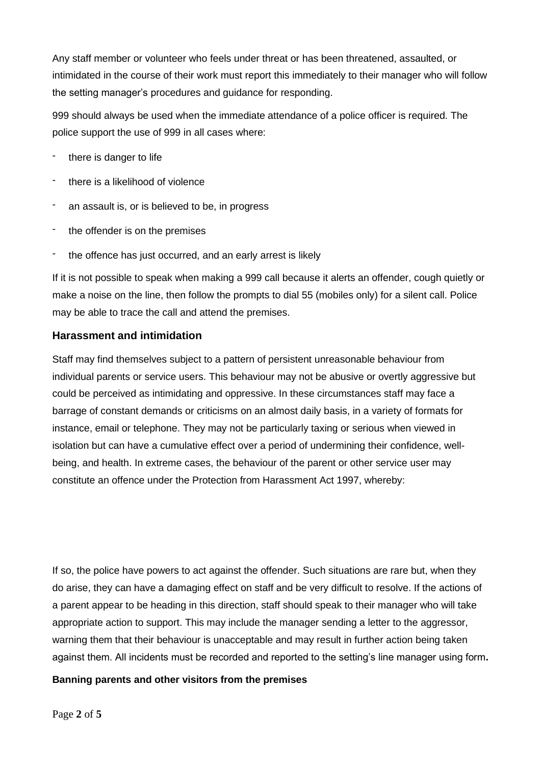Any staff member or volunteer who feels under threat or has been threatened, assaulted, or intimidated in the course of their work must report this immediately to their manager who will follow the setting manager's procedures and guidance for responding.

999 should always be used when the immediate attendance of a police officer is required. The police support the use of 999 in all cases where:

- there is danger to life
- there is a likelihood of violence
- an assault is, or is believed to be, in progress
- the offender is on the premises
- the offence has just occurred, and an early arrest is likely

If it is not possible to speak when making a 999 call because it alerts an offender, cough quietly or make a noise on the line, then follow the prompts to dial 55 (mobiles only) for a silent call. Police may be able to trace the call and attend the premises.

### **Harassment and intimidation**

Staff may find themselves subject to a pattern of persistent unreasonable behaviour from individual parents or service users. This behaviour may not be abusive or overtly aggressive but could be perceived as intimidating and oppressive. In these circumstances staff may face a barrage of constant demands or criticisms on an almost daily basis, in a variety of formats for instance, email or telephone. They may not be particularly taxing or serious when viewed in isolation but can have a cumulative effect over a period of undermining their confidence, wellbeing, and health. In extreme cases, the behaviour of the parent or other service user may constitute an offence under the Protection from Harassment Act 1997, whereby:

If so, the police have powers to act against the offender. Such situations are rare but, when they do arise, they can have a damaging effect on staff and be very difficult to resolve. If the actions of a parent appear to be heading in this direction, staff should speak to their manager who will take appropriate action to support. This may include the manager sending a letter to the aggressor, warning them that their behaviour is unacceptable and may result in further action being taken against them. All incidents must be recorded and reported to the setting's line manager using form**.**

#### **Banning parents and other visitors from the premises**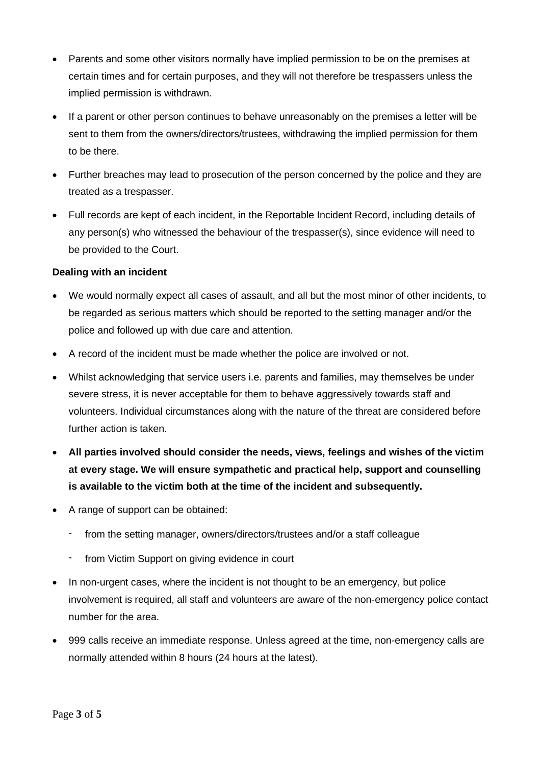- Parents and some other visitors normally have implied permission to be on the premises at certain times and for certain purposes, and they will not therefore be trespassers unless the implied permission is withdrawn.
- If a parent or other person continues to behave unreasonably on the premises a letter will be sent to them from the owners/directors/trustees, withdrawing the implied permission for them to be there.
- Further breaches may lead to prosecution of the person concerned by the police and they are treated as a trespasser.
- Full records are kept of each incident, in the Reportable Incident Record, including details of any person(s) who witnessed the behaviour of the trespasser(s), since evidence will need to be provided to the Court.

## **Dealing with an incident**

- We would normally expect all cases of assault, and all but the most minor of other incidents, to be regarded as serious matters which should be reported to the setting manager and/or the police and followed up with due care and attention.
- A record of the incident must be made whether the police are involved or not.
- Whilst acknowledging that service users i.e. parents and families, may themselves be under severe stress, it is never acceptable for them to behave aggressively towards staff and volunteers. Individual circumstances along with the nature of the threat are considered before further action is taken.
- **All parties involved should consider the needs, views, feelings and wishes of the victim at every stage. We will ensure sympathetic and practical help, support and counselling is available to the victim both at the time of the incident and subsequently.**
- A range of support can be obtained:
	- from the setting manager, owners/directors/trustees and/or a staff colleague
	- from Victim Support on giving evidence in court
- In non-urgent cases, where the incident is not thought to be an emergency, but police involvement is required, all staff and volunteers are aware of the non-emergency police contact number for the area.
- 999 calls receive an immediate response. Unless agreed at the time, non-emergency calls are normally attended within 8 hours (24 hours at the latest).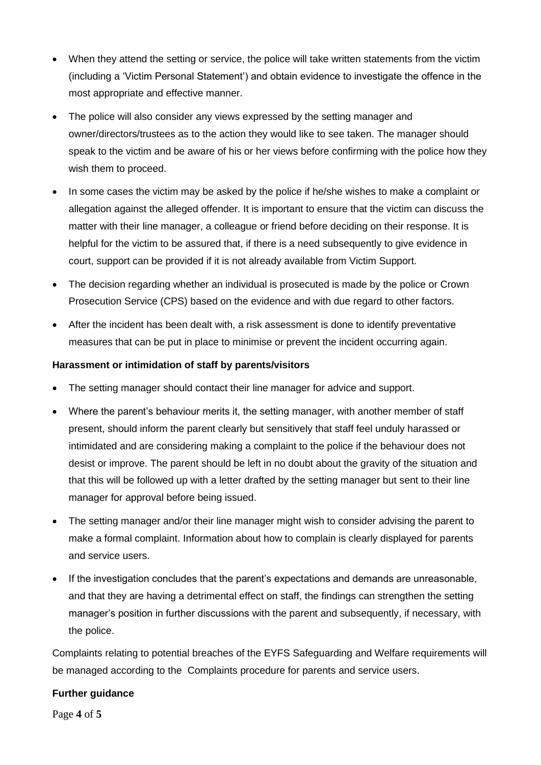- When they attend the setting or service, the police will take written statements from the victim (including a 'Victim Personal Statement') and obtain evidence to investigate the offence in the most appropriate and effective manner.
- The police will also consider any views expressed by the setting manager and owner/directors/trustees as to the action they would like to see taken. The manager should speak to the victim and be aware of his or her views before confirming with the police how they wish them to proceed.
- In some cases the victim may be asked by the police if he/she wishes to make a complaint or allegation against the alleged offender. It is important to ensure that the victim can discuss the matter with their line manager, a colleague or friend before deciding on their response. It is helpful for the victim to be assured that, if there is a need subsequently to give evidence in court, support can be provided if it is not already available from Victim Support.
- The decision regarding whether an individual is prosecuted is made by the police or Crown Prosecution Service (CPS) based on the evidence and with due regard to other factors.
- After the incident has been dealt with, a risk assessment is done to identify preventative measures that can be put in place to minimise or prevent the incident occurring again.

## **Harassment or intimidation of staff by parents/visitors**

- The setting manager should contact their line manager for advice and support.
- Where the parent's behaviour merits it, the setting manager, with another member of staff present, should inform the parent clearly but sensitively that staff feel unduly harassed or intimidated and are considering making a complaint to the police if the behaviour does not desist or improve. The parent should be left in no doubt about the gravity of the situation and that this will be followed up with a letter drafted by the setting manager but sent to their line manager for approval before being issued.
- The setting manager and/or their line manager might wish to consider advising the parent to make a formal complaint. Information about how to complain is clearly displayed for parents and service users.
- If the investigation concludes that the parent's expectations and demands are unreasonable, and that they are having a detrimental effect on staff, the findings can strengthen the setting manager's position in further discussions with the parent and subsequently, if necessary, with the police.

Complaints relating to potential breaches of the EYFS Safeguarding and Welfare requirements will be managed according to the Complaints procedure for parents and service users.

### **Further guidance**

Page **4** of **5**